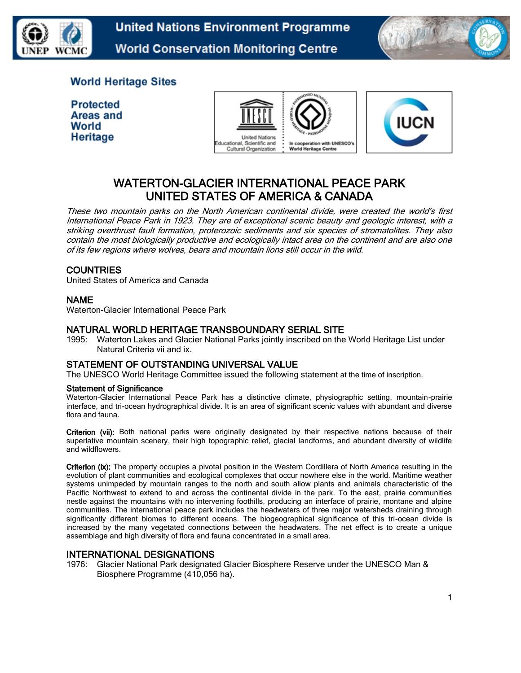



## **World Heritage Sites**

**Protected Areas and** World Heritage





# WATERTON-GLACIER INTERNATIONAL PEACE PARK UNITED STATES OF AMERICA & CANADA

These two mountain parks on the North American continental divide, were created the world's first International Peace Park in 1923. They are of exceptional scenic beauty and geologic interest, with a striking overthrust fault formation, proterozoic sediments and six species of stromatolites. They also contain the most biologically productive and ecologically intact area on the continent and are also one of its few regions where wolves, bears and mountain lions still occur in the wild.

## **COUNTRIES**

United States of America and Canada

## NAME

Waterton-Glacier International Peace Park

### NATURAL WORLD HERITAGE TRANSBOUNDARY SERIAL SITE

1995: Waterton Lakes and Glacier National Parks jointly inscribed on the World Heritage List under Natural Criteria vii and ix.

## STATEMENT OF OUTSTANDING UNIVERSAL VALUE

The UNESCO World Heritage Committee issued the following statement at the time of inscription.

#### Statement of Significance

Waterton-Glacier International Peace Park has a distinctive climate, physiographic setting, mountain-prairie interface, and tri-ocean hydrographical divide. It is an area of significant scenic values with abundant and diverse flora and fauna.

Criterion (vii): Both national parks were originally designated by their respective nations because of their superlative mountain scenery, their high topographic relief, glacial landforms, and abundant diversity of wildlife and wildflowers.

Criterion (ix): The property occupies a pivotal position in the Western Cordillera of North America resulting in the evolution of plant communities and ecological complexes that occur nowhere else in the world. Maritime weather systems unimpeded by mountain ranges to the north and south allow plants and animals characteristic of the Pacific Northwest to extend to and across the continental divide in the park. To the east, prairie communities nestle against the mountains with no intervening foothills, producing an interface of prairie, montane and alpine communities. The international peace park includes the headwaters of three major watersheds draining through significantly different biomes to different oceans. The biogeographical significance of this tri-ocean divide is increased by the many vegetated connections between the headwaters. The net effect is to create a unique assemblage and high diversity of flora and fauna concentrated in a small area.

## INTERNATIONAL DESIGNATIONS

1976: Glacier National Park designated Glacier Biosphere Reserve under the UNESCO Man & Biosphere Programme (410,056 ha).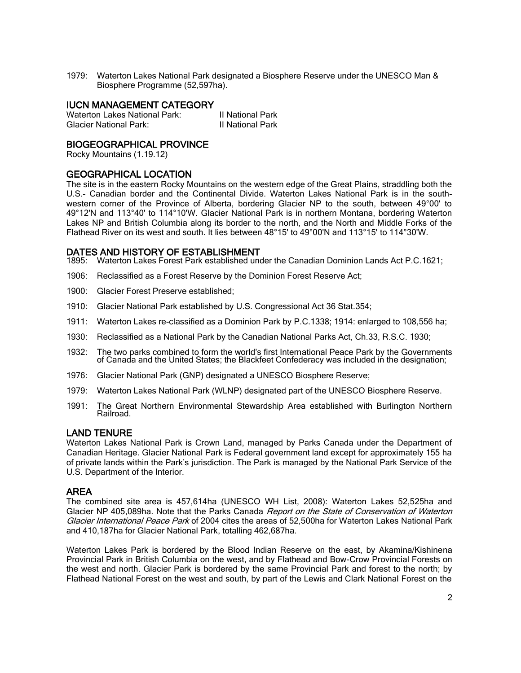1979: Waterton Lakes National Park designated a Biosphere Reserve under the UNESCO Man & Biosphere Programme (52,597ha).

### IUCN MANAGEMENT CATEGORY

| Waterton Lakes National Park: | II National Park |
|-------------------------------|------------------|
| <b>Glacier National Park:</b> | Il National Park |

### BIOGEOGRAPHICAL PROVINCE

Rocky Mountains (1.19.12)

### GEOGRAPHICAL LOCATION

The site is in the eastern Rocky Mountains on the western edge of the Great Plains, straddling both the U.S.- Canadian border and the Continental Divide. Waterton Lakes National Park is in the southwestern corner of the Province of Alberta, bordering Glacier NP to the south, between 49°00' to 49°12'N and 113°40' to 114°10'W. Glacier National Park is in northern Montana, bordering Waterton Lakes NP and British Columbia along its border to the north, and the North and Middle Forks of the Flathead River on its west and south. It lies between 48°15' to 49°00'N and 113°15' to 114°30'W.

### DATES AND HISTORY OF ESTABLISHMENT

1895: Waterton Lakes Forest Park established under the Canadian Dominion Lands Act P.C.1621;

- 1906: Reclassified as a Forest Reserve by the Dominion Forest Reserve Act;
- 1900: Glacier Forest Preserve established;
- 1910: Glacier National Park established by U.S. Congressional Act 36 Stat.354;
- 1911: Waterton Lakes re-classified as a Dominion Park by P.C.1338; 1914: enlarged to 108,556 ha;
- 1930: Reclassified as a National Park by the Canadian National Parks Act, Ch.33, R.S.C. 1930;
- 1932: The two parks combined to form the world's first International Peace Park by the Governments of Canada and the United States; the Blackfeet Confederacy was included in the designation;
- 1976: Glacier National Park (GNP) designated a UNESCO Biosphere Reserve;
- 1979: Waterton Lakes National Park (WLNP) designated part of the UNESCO Biosphere Reserve.
- 1991: The Great Northern Environmental Stewardship Area established with Burlington Northern Railroad.

### LAND TENURE

Waterton Lakes National Park is Crown Land, managed by Parks Canada under the Department of Canadian Heritage. Glacier National Park is Federal government land except for approximately 155 ha of private lands within the Park's jurisdiction. The Park is managed by the National Park Service of the U.S. Department of the Interior.

### AREA

The combined site area is 457,614ha (UNESCO WH List, 2008): Waterton Lakes 52,525ha and Glacier NP 405,089ha. Note that the Parks Canada Report on the State of Conservation of Waterton Glacier International Peace Park of 2004 cites the areas of 52,500ha for Waterton Lakes National Park and 410,187ha for Glacier National Park, totalling 462,687ha.

Waterton Lakes Park is bordered by the Blood Indian Reserve on the east, by Akamina/Kishinena Provincial Park in British Columbia on the west, and by Flathead and Bow-Crow Provincial Forests on the west and north. Glacier Park is bordered by the same Provincial Park and forest to the north; by Flathead National Forest on the west and south, by part of the Lewis and Clark National Forest on the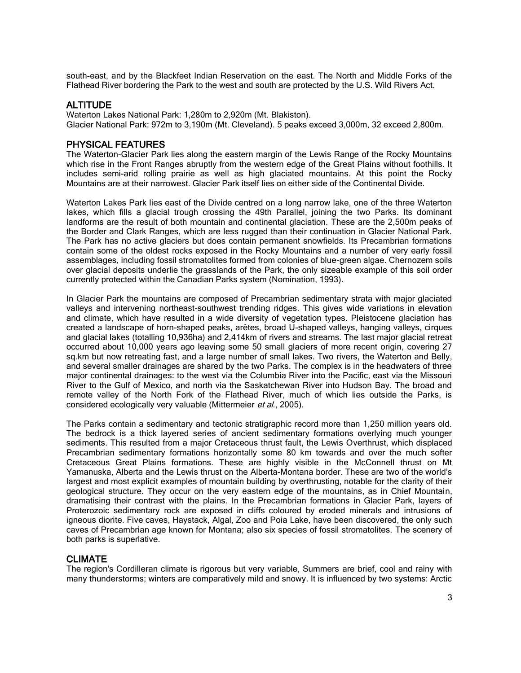south-east, and by the Blackfeet Indian Reservation on the east. The North and Middle Forks of the Flathead River bordering the Park to the west and south are protected by the U.S. Wild Rivers Act.

#### ALTITUDE

Waterton Lakes National Park: 1,280m to 2,920m (Mt. Blakiston). Glacier National Park: 972m to 3,190m (Mt. Cleveland). 5 peaks exceed 3,000m, 32 exceed 2,800m.

#### PHYSICAL FEATURES

The Waterton-Glacier Park lies along the eastern margin of the Lewis Range of the Rocky Mountains which rise in the Front Ranges abruptly from the western edge of the Great Plains without foothills. It includes semi-arid rolling prairie as well as high glaciated mountains. At this point the Rocky Mountains are at their narrowest. Glacier Park itself lies on either side of the Continental Divide.

Waterton Lakes Park lies east of the Divide centred on a long narrow lake, one of the three Waterton lakes, which fills a glacial trough crossing the 49th Parallel, joining the two Parks. Its dominant landforms are the result of both mountain and continental glaciation. These are the 2,500m peaks of the Border and Clark Ranges, which are less rugged than their continuation in Glacier National Park. The Park has no active glaciers but does contain permanent snowfields. Its Precambrian formations contain some of the oldest rocks exposed in the Rocky Mountains and a number of very early fossil assemblages, including fossil stromatolites formed from colonies of blue-green algae. Chernozem soils over glacial deposits underlie the grasslands of the Park, the only sizeable example of this soil order currently protected within the Canadian Parks system (Nomination, 1993).

In Glacier Park the mountains are composed of Precambrian sedimentary strata with major glaciated valleys and intervening northeast-southwest trending ridges. This gives wide variations in elevation and climate, which have resulted in a wide diversity of vegetation types. Pleistocene glaciation has created a landscape of horn-shaped peaks, arêtes, broad U-shaped valleys, hanging valleys, cirques and glacial lakes (totalling 10,936ha) and 2,414km of rivers and streams. The last major glacial retreat occurred about 10,000 years ago leaving some 50 small glaciers of more recent origin, covering 27 sq.km but now retreating fast, and a large number of small lakes. Two rivers, the Waterton and Belly, and several smaller drainages are shared by the two Parks. The complex is in the headwaters of three major continental drainages: to the west via the Columbia River into the Pacific, east via the Missouri River to the Gulf of Mexico, and north via the Saskatchewan River into Hudson Bay. The broad and remote valley of the North Fork of the Flathead River, much of which lies outside the Parks, is considered ecologically very valuable (Mittermeier et al., 2005).

The Parks contain a sedimentary and tectonic stratigraphic record more than 1,250 million years old. The bedrock is a thick layered series of ancient sedimentary formations overlying much younger sediments. This resulted from a major Cretaceous thrust fault, the Lewis Overthrust, which displaced Precambrian sedimentary formations horizontally some 80 km towards and over the much softer Cretaceous Great Plains formations. These are highly visible in the McConnell thrust on Mt Yamanuska, Alberta and the Lewis thrust on the Alberta-Montana border. These are two of the world's largest and most explicit examples of mountain building by overthrusting, notable for the clarity of their geological structure. They occur on the very eastern edge of the mountains, as in Chief Mountain, dramatising their contrast with the plains. In the Precambrian formations in Glacier Park, layers of Proterozoic sedimentary rock are exposed in cliffs coloured by eroded minerals and intrusions of igneous diorite. Five caves, Haystack, Algal, Zoo and Poia Lake, have been discovered, the only such caves of Precambrian age known for Montana; also six species of fossil stromatolites. The scenery of both parks is superlative.

#### CLIMATE

The region's Cordilleran climate is rigorous but very variable, Summers are brief, cool and rainy with many thunderstorms; winters are comparatively mild and snowy. It is influenced by two systems: Arctic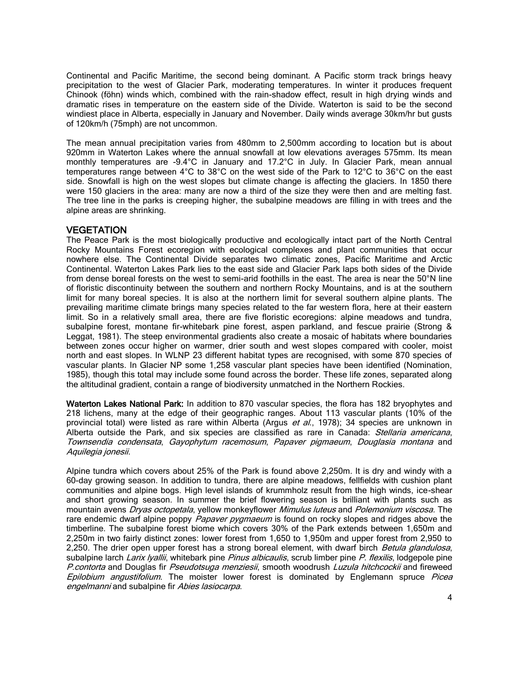Continental and Pacific Maritime, the second being dominant. A Pacific storm track brings heavy precipitation to the west of Glacier Park, moderating temperatures. In winter it produces frequent Chinook (föhn) winds which, combined with the rain-shadow effect, result in high drying winds and dramatic rises in temperature on the eastern side of the Divide. Waterton is said to be the second windiest place in Alberta, especially in January and November. Daily winds average 30km/hr but gusts of 120km/h (75mph) are not uncommon.

The mean annual precipitation varies from 480mm to 2,500mm according to location but is about 920mm in Waterton Lakes where the annual snowfall at low elevations averages 575mm. Its mean monthly temperatures are -9.4°C in January and 17.2°C in July. In Glacier Park, mean annual temperatures range between 4°C to 38°C on the west side of the Park to 12°C to 36°C on the east side. Snowfall is high on the west slopes but climate change is affecting the glaciers. In 1850 there were 150 glaciers in the area: many are now a third of the size they were then and are melting fast. The tree line in the parks is creeping higher, the subalpine meadows are filling in with trees and the alpine areas are shrinking.

#### **VEGETATION**

The Peace Park is the most biologically productive and ecologically intact part of the North Central Rocky Mountains Forest ecoregion with ecological complexes and plant communities that occur nowhere else. The Continental Divide separates two climatic zones, Pacific Maritime and Arctic Continental. Waterton Lakes Park lies to the east side and Glacier Park laps both sides of the Divide from dense boreal forests on the west to semi-arid foothills in the east. The area is near the 50°N line of floristic discontinuity between the southern and northern Rocky Mountains, and is at the southern limit for many boreal species. It is also at the northern limit for several southern alpine plants. The prevailing maritime climate brings many species related to the far western flora, here at their eastern limit. So in a relatively small area, there are five floristic ecoregions: alpine meadows and tundra, subalpine forest, montane fir-whitebark pine forest, aspen parkland, and fescue prairie (Strong & Leggat, 1981). The steep environmental gradients also create a mosaic of habitats where boundaries between zones occur higher on warmer, drier south and west slopes compared with cooler, moist north and east slopes. In WLNP 23 different habitat types are recognised, with some 870 species of vascular plants. In Glacier NP some 1,258 vascular plant species have been identified (Nomination, 1985), though this total may include some found across the border. These life zones, separated along the altitudinal gradient, contain a range of biodiversity unmatched in the Northern Rockies.

Waterton Lakes National Park: In addition to 870 vascular species, the flora has 182 bryophytes and 218 lichens, many at the edge of their geographic ranges. About 113 vascular plants (10% of the provincial total) were listed as rare within Alberta (Argus et al., 1978); 34 species are unknown in Alberta outside the Park, and six species are classified as rare in Canada: *Stellaria americana*, Townsendia condensata, Gayophytum racemosum, Papaver pigmaeum, Douglasia montana and Aquilegia jonesii.

Alpine tundra which covers about 25% of the Park is found above 2,250m. It is dry and windy with a 60-day growing season. In addition to tundra, there are alpine meadows, fellfields with cushion plant communities and alpine bogs. High level islands of krummholz result from the high winds, ice-shear and short growing season. In summer the brief flowering season is brilliant with plants such as mountain avens Dryas octopetala, yellow monkeyflower Mimulus luteus and Polemonium viscosa. The rare endemic dwarf alpine poppy Papaver pygmaeum is found on rocky slopes and ridges above the timberline. The subalpine forest biome which covers 30% of the Park extends between 1,650m and 2,250m in two fairly distinct zones: lower forest from 1,650 to 1,950m and upper forest from 2,950 to 2,250. The drier open upper forest has a strong boreal element, with dwarf birch Betula glandulosa, subalpine larch [Larix lyallii](http://sea.unep-wcmc.org/isdb/Taxonomy/tax-species-result.cfm?habit=&displaylanguage=eng&Genus=%25Larix%25&source=plants&Species=lyallii&Country=), whitebark pine [Pinus albicaulis](http://sea.unep-wcmc.org/isdb/Taxonomy/tax-species-result.cfm?habit=&displaylanguage=eng&Genus=%25pinus%25&source=plants&Species=albicaulis&Country=), scrub limber pine [P. flexilis](http://sea.unep-wcmc.org/isdb/Taxonomy/tax-species-result.cfm?habit=&displaylanguage=eng&Genus=%25pinus%25&source=plants&Species=flexilis&Country=), lodgepole pine P.contorta and Douglas fir Pseudotsuga menziesii, smooth woodrush Luzula hitchcockii and fireweed Epilobium angustifolium. The moister lower forest is dominated by Englemann spruce Picea [engelmanni](http://sea.unep-wcmc.org/isdb/Taxonomy/tax-species-result.cfm?habit=&displaylanguage=eng&Genus=%25Picea%25&source=plants&Species=engelmannii&Country=) and subalpine fir [Abies lasiocarpa](http://sea.unep-wcmc.org/isdb/Taxonomy/tax-species-result.cfm?habit=&displaylanguage=eng&Genus=%25Abies%25&source=plants&Species=lasiocarpa&Country=).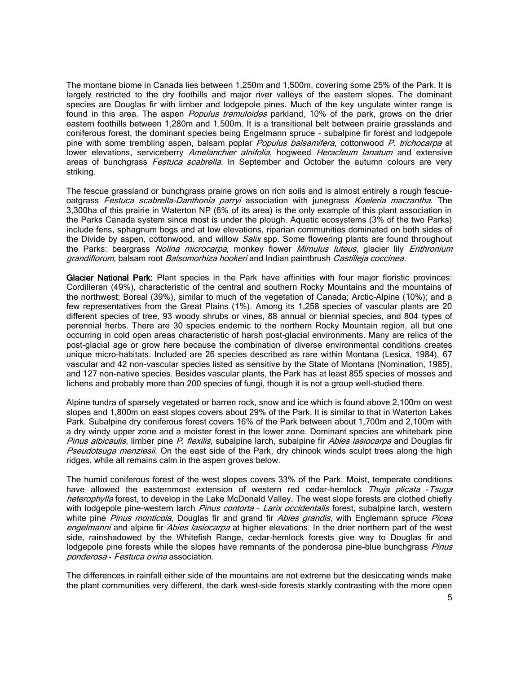The montane biome in Canada lies between 1,250m and 1,500m, covering some 25% of the Park. It is largely restricted to the dry foothills and major river valleys of the eastern slopes. The dominant species are Douglas fir with limber and lodgepole pines. Much of the key ungulate winter range is found in this area. The aspen Populus tremuloides parkland, 10% of the park, grows on the drier eastern foothills between 1,280m and 1,500m. It is a transitional belt between prairie grasslands and coniferous forest, the dominant species being Engelmann spruce - subalpine fir forest and lodgepole pine with some trembling aspen, balsam poplar *Populus balsamifera*, cottonwood *[P. trichocarpa](http://sea.unep-wcmc.org/isdb/Taxonomy/tax-species-result.cfm?habit=&displaylanguage=eng&Genus=%25Populus%25&source=plants&Species=trichocarpa&Country=)* at lower elevations, serviceberry Amelanchier alnifolia, hogweed Heracleum lanatum and extensive areas of bunchgrass Festuca scabrella. In September and October the autumn colours are very striking.

The fescue grassland or bunchgrass prairie grows on rich soils and is almost entirely a rough fescueoatgrass Festuca scabrella-Danthonia parryi association with junegrass Koeleria macrantha. The 3,300ha of this prairie in Waterton NP (6% of its area) is the only example of this plant association in the Parks Canada system since most is under the plough. Aquatic ecosystems (3% of the two Parks) include fens, sphagnum bogs and at low elevations, riparian communities dominated on both sides of the Divide by aspen, cottonwood, and willow *Salix* spp. Some flowering plants are found throughout the Parks: beargrass *Nolina microcarpa*, monkey flower *Mimulus luteus*, glacier lily *Erithronium* grandiflorum, balsam root Balsomorhiza hookeri and Indian paintbrush Castilleja coccinea.

Glacier National Park: Plant species in the Park have affinities with four major floristic provinces: Cordilleran (49%), characteristic of the central and southern Rocky Mountains and the mountains of the northwest; Boreal (39%), similar to much of the vegetation of Canada; Arctic-Alpine (10%); and a few representatives from the Great Plains (1%). Among its 1,258 species of vascular plants are 20 different species of tree, 93 woody shrubs or vines, 88 annual or biennial species, and 804 types of perennial herbs. There are 30 species endemic to the northern Rocky Mountain region, all but one occurring in cold open areas characteristic of harsh post-glacial environments. Many are relics of the post-glacial age or grow here because the combination of diverse environmental conditions creates unique micro-habitats. Included are 26 species described as rare within Montana (Lesica, 1984), 67 vascular and 42 non-vascular species listed as sensitive by the State of Montana (Nomination, 1985), and 127 non-native species. Besides vascular plants, the Park has at least 855 species of mosses and lichens and probably more than 200 species of fungi, though it is not a group well-studied there.

Alpine tundra of sparsely vegetated or barren rock, snow and ice which is found above 2,100m on west slopes and 1,800m on east slopes covers about 29% of the Park. It is similar to that in Waterton Lakes Park. Subalpine dry coniferous forest covers 16% of the Park between about 1,700m and 2,100m with a dry windy upper zone and a moister forest in the lower zone. Dominant species are whitebark pine [Pinus albicaulis](http://sea.unep-wcmc.org/isdb/Taxonomy/tax-species-result.cfm?habit=&displaylanguage=eng&Genus=%25pinus%25&source=plants&Species=albicaulis&Country=), limber pine [P. flexilis](http://sea.unep-wcmc.org/isdb/Taxonomy/tax-species-result.cfm?habit=&displaylanguage=eng&Genus=%25pinus%25&source=plants&Species=flexilis&Country=), subalpine larch, subalpine fir Abies lasiocarpa and Douglas fir **[Pseudotsuga menziesii](http://sea.unep-wcmc.org/isdb/Taxonomy/tax-species-result.cfm?habit=&displaylanguage=eng&Genus=%25pseudotsuga%25&source=plants&Species=menziesii&Country=).** On the east side of the Park, dry chinook winds sculpt trees along the high ridges, while all remains calm in the aspen groves below.

The humid coniferous forest of the west slopes covers 33% of the Park. Moist, temperate conditions have allowed the easternmost extension of western red cedar-hemlock [Thuja plicata](http://sea.unep-wcmc.org/isdb/Taxonomy/tax-species-result.cfm?habit=&displaylanguage=eng&Genus=%25thuja%25&source=plants&Species=plicata&Country=) -Tsuga [heterophylla](http://sea.unep-wcmc.org/isdb/Taxonomy/tax-species-result.cfm?habit=&displaylanguage=eng&Genus=%25Tsuga%25&source=plants&Species=heterophylla&Country=) forest, to develop in the Lake McDonald Valley. The west slope forests are clothed chiefly with lodgepole pine-western larch [Pinus contorta](http://sea.unep-wcmc.org/isdb/Taxonomy/tax-species-result.cfm?habit=&displaylanguage=eng&Genus=%25Pinus%25&source=plants&Species=contorta&Country=) - Larix occidentalis forest, subalpine larch, western white pine Pinus monticola, Douglas fir and grand fir [Abies grandis](http://sea.unep-wcmc.org/isdb/Taxonomy/tax-species-result.cfm?habit=&displaylanguage=eng&Genus=%25Abies%25&source=plants&Species=grandis&Country=), with Englemann spruce Picea [engelmanni](http://sea.unep-wcmc.org/isdb/Taxonomy/tax-species-result.cfm?habit=&displaylanguage=eng&Genus=%25Picea%25&source=plants&Species=engelmannii&Country=) and alpine fir [Abies lasiocarpa](http://sea.unep-wcmc.org/isdb/Taxonomy/tax-species-result.cfm?habit=&displaylanguage=eng&Genus=%25Abies%25&source=plants&Species=lasiocarpa&Country=) at higher elevations. In the drier northern part of the west side, rainshadowed by the Whitefish Range, cedar-hemlock forests give way to Douglas fir and lodgepole pine forests while the slopes have remnants of the ponderosa pine-blue bunchgrass Pinus ponderosa - Festuca ovina association.

The differences in rainfall either side of the mountains are not extreme but the desiccating winds make the plant communities very different, the dark west-side forests starkly contrasting with the more open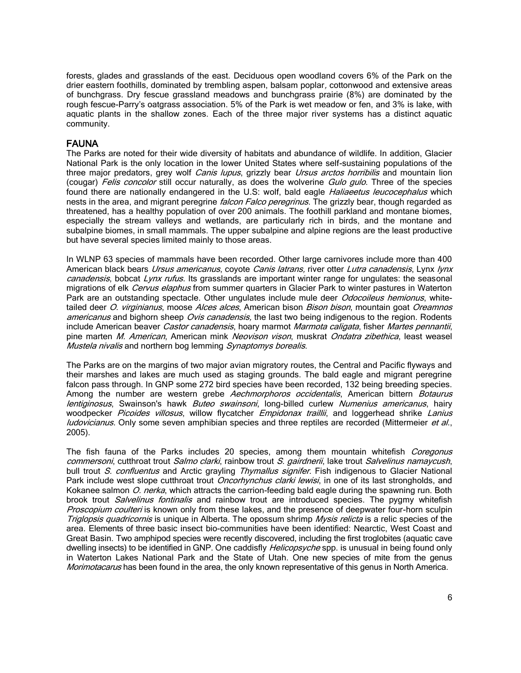forests, glades and grasslands of the east. Deciduous open woodland covers 6% of the Park on the drier eastern foothills, dominated by trembling aspen, balsam poplar, cottonwood and extensive areas of bunchgrass. Dry fescue grassland meadows and bunchgrass prairie (8%) are dominated by the rough fescue-Parry's oatgrass association. 5% of the Park is wet meadow or fen, and 3% is lake, with aquatic plants in the shallow zones. Each of the three major river systems has a distinct aquatic community.

#### FAUNA

The Parks are noted for their wide diversity of habitats and abundance of wildlife. In addition, Glacier National Park is the only location in the lower United States where self-sustaining populations of the three major predators, grey wolf Canis lupus, grizzly bear Ursus arctos horribilis and mountain lion (cougar) Felis concolor still occur naturally, as does the wolverine [Gulo gulo](http://sea.unep-wcmc.org/isdb/Taxonomy/tax-species-result.cfm?displaylanguage=eng&Genus=%25Gulo%25&source=animals&Species=gulo&Country=). Three of the species found there are nationally endangered in the U.S: wolf, bald eagle Haliaeetus leucocephalus which nests in the area, and migrant peregrine *falcon Falco peregrinus*. The grizzly bear, though regarded as threatened, has a healthy population of over 200 animals. The foothill parkland and montane biomes, especially the stream valleys and wetlands, are particularly rich in birds, and the montane and subalpine biomes, in small mammals. The upper subalpine and alpine regions are the least productive but have several species limited mainly to those areas.

In WLNP 63 species of mammals have been recorded. Other large carnivores include more than 400 American black bears Ursus americanus, coyote Canis latrans, river otter [Lutra canadensis](http://sea.unep-wcmc.org/isdb/Taxonomy/tax-species-result.cfm?displaylanguage=eng&Genus=%25Lutra%25&source=animals&Species=canadensis&Country=), Lynx lynx canadensis, bobcat Lynx rufus. Its grasslands are important winter range for ungulates: the seasonal migrations of elk Cervus elaphus from summer quarters in Glacier Park to winter pastures in Waterton Park are an outstanding spectacle. Other ungulates include mule deer *Odocoileus hemionus*, whitetailed deer O. virginianus, moose Alces alces, American bison Bison bison, mountain goat Oreamnos americanus and bighorn sheep Ovis canadensis, the last two being indigenous to the region. Rodents include American beaver Castor canadensis, hoary marmot [Marmota caligata](http://sea.unep-wcmc.org/isdb/Taxonomy/tax-species-result.cfm?displaylanguage=eng&Genus=%25Marmota%25&source=animals&Species=caligata&Country=), fisher [Martes pennantii](http://sea.unep-wcmc.org/isdb/Taxonomy/tax-species-result.cfm?displaylanguage=eng&Genus=%25Martes%25&source=animals&Species=pennanti&Country=), pine marten M. American, American mink Neovison vison, muskrat Ondatra zibethica, least weasel [Mustela nivalis](http://sea.unep-wcmc.org/isdb/Taxonomy/tax-species-result.cfm?displaylanguage=eng&Genus=%25Mustela%25&source=animals&Species=nivalis&Country=) and northern bog lemming [Synaptomys](http://sea.unep-wcmc.org/isdb/Taxonomy/tax-species-result.cfm?displaylanguage=eng&Genus=%25Synaptomys%25&source=animals&Species=borealis&Country=) borealis.

The Parks are on the margins of two major avian migratory routes, the Central and Pacific flyways and their marshes and lakes are much used as staging grounds. The bald eagle and migrant peregrine falcon pass through. In GNP some 272 bird species have been recorded, 132 being breeding species. Among the number are western grebe Aechmorphoros occidentalis, American bittern Botaurus [lentiginosus](http://sea.unep-wcmc.org/isdb/Taxonomy/tax-species-result.cfm?displaylanguage=eng&Genus=%25botaurus%25&source=animals&Species=lentiginosus&Country=), Swainson's hawk [Buteo swainsoni](http://sea.unep-wcmc.org/isdb/Taxonomy/tax-species-result.cfm?displaylanguage=eng&Genus=%25Buteo%25&source=animals&Species=swainsoni&Country=), long-billed curlew [Numenius americanus](http://sea.unep-wcmc.org/isdb/Taxonomy/tax-species-result.cfm?displaylanguage=eng&Genus=%25Numenius%25&source=animals&Species=americanus&Country=), hairy woodpecker [Picoides villosus](http://sea.unep-wcmc.org/isdb/Taxonomy/tax-species-result.cfm?displaylanguage=eng&Genus=%25Picoides%25&source=animals&Species=villosus&Country=), willow flycatcher [Empidonax traillii](http://sea.unep-wcmc.org/isdb/Taxonomy/tax-species-result.cfm?displaylanguage=eng&Genus=%25Empidonax%25&source=animals&Species=traillii&Country=), and loggerhead shrike Lanius [ludovicianus](http://sea.unep-wcmc.org/isdb/Taxonomy/tax-species-result.cfm?displaylanguage=eng&Genus=%25Lanius%25&source=animals&Species=ludovicianus&Country=). Only some seven amphibian species and three reptiles are recorded (Mittermeier et al., 2005).

The fish fauna of the Parks includes 20 species, among them mountain whitefish *Coregonus* commersoni, cutthroat trout Salmo clarki, rainbow trout S. gairdnerii, lake trout Salvelinus namaycush, bull trout S. confluentus and Arctic grayling Thymallus signifer. Fish indigenous to Glacier National Park include west slope cutthroat trout *Oncorhynchus clarki lewisi*, in one of its last strongholds, and Kokanee salmon O. nerka, which attracts the carrion-feeding bald eagle during the spawning run. Both brook trout *[Salvelinus fontinalis](http://sea.unep-wcmc.org/isdb/Taxonomy/tax-species-result.cfm?displaylanguage=eng&Genus=%25Salvelinus%25&source=animals&Species=fontinalis&Country=)* and rainbow trout are introduced species. The pygmy whitefish Proscopium coulteri is known only from these lakes, and the presence of deepwater four-horn sculpin Triglopsis quadricornis is unique in Alberta. The opossum shrimp Mysis relicta is a relic species of the area. Elements of three basic insect bio-communities have been identified: Nearctic, West Coast and Great Basin. Two amphipod species were recently discovered, including the first troglobites (aquatic cave dwelling insects) to be identified in GNP. One caddisfly *Helicopsyche* spp. is unusual in being found only in Waterton Lakes National Park and the State of Utah. One new species of mite from the genus Morimotacarus has been found in the area, the only known representative of this genus in North America.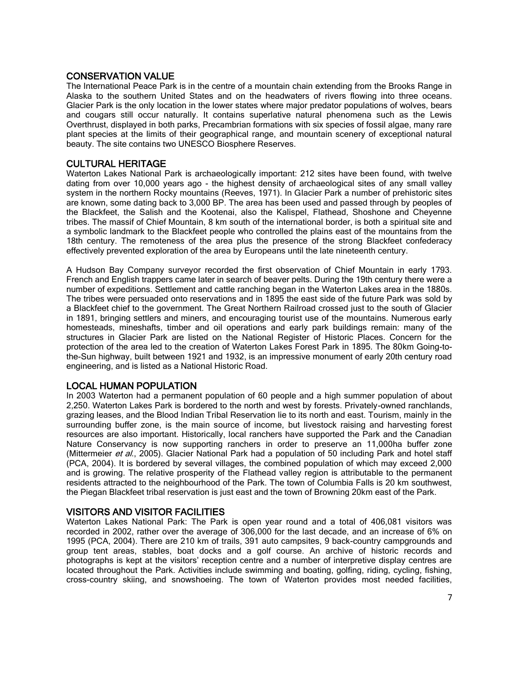#### CONSERVATION VALUE

The International Peace Park is in the centre of a mountain chain extending from the Brooks Range in Alaska to the southern United States and on the headwaters of rivers flowing into three oceans. Glacier Park is the only location in the lower states where major predator populations of wolves, bears and cougars still occur naturally. It contains superlative natural phenomena such as the Lewis Overthrust, displayed in both parks, Precambrian formations with six species of fossil algae, many rare plant species at the limits of their geographical range, and mountain scenery of exceptional natural beauty. The site contains two UNESCO Biosphere Reserves.

### CULTURAL HERITAGE

Waterton Lakes National Park is archaeologically important: 212 sites have been found, with twelve dating from over 10,000 years ago - the highest density of archaeological sites of any small valley system in the northern Rocky mountains (Reeves, 1971). In Glacier Park a number of prehistoric sites are known, some dating back to 3,000 BP. The area has been used and passed through by peoples of the Blackfeet, the Salish and the Kootenai, also the Kalispel, Flathead, Shoshone and Cheyenne tribes. The massif of Chief Mountain, 8 km south of the international border, is both a spiritual site and a symbolic landmark to the Blackfeet people who controlled the plains east of the mountains from the 18th century. The remoteness of the area plus the presence of the strong Blackfeet confederacy effectively prevented exploration of the area by Europeans until the late nineteenth century.

A Hudson Bay Company surveyor recorded the first observation of Chief Mountain in early 1793. French and English trappers came later in search of beaver pelts. During the 19th century there were a number of expeditions. Settlement and cattle ranching began in the Waterton Lakes area in the 1880s. The tribes were persuaded onto reservations and in 1895 the east side of the future Park was sold by a Blackfeet chief to the government. The Great Northern Railroad crossed just to the south of Glacier in 1891, bringing settlers and miners, and encouraging tourist use of the mountains. Numerous early homesteads, mineshafts, timber and oil operations and early park buildings remain: many of the structures in Glacier Park are listed on the National Register of Historic Places. Concern for the protection of the area led to the creation of Waterton Lakes Forest Park in 1895. The 80km Going-tothe-Sun highway, built between 1921 and 1932, is an impressive monument of early 20th century road engineering, and is listed as a National Historic Road.

### LOCAL HUMAN POPULATION

In 2003 Waterton had a permanent population of 60 people and a high summer population of about 2,250. Waterton Lakes Park is bordered to the north and west by forests. Privately-owned ranchlands, grazing leases, and the Blood Indian Tribal Reservation lie to its north and east. Tourism, mainly in the surrounding buffer zone, is the main source of income, but livestock raising and harvesting forest resources are also important. Historically, local ranchers have supported the Park and the Canadian Nature Conservancy is now supporting ranchers in order to preserve an 11,000ha buffer zone (Mittermeier et al., 2005). Glacier National Park had a population of 50 including Park and hotel staff (PCA, 2004). It is bordered by several villages, the combined population of which may exceed 2,000 and is growing. The relative prosperity of the Flathead valley region is attributable to the permanent residents attracted to the neighbourhood of the Park. The town of Columbia Falls is 20 km southwest, the Piegan Blackfeet tribal reservation is just east and the town of Browning 20km east of the Park.

### VISITORS AND VISITOR FACILITIES

Waterton Lakes National Park: The Park is open year round and a total of 406,081 visitors was recorded in 2002, rather over the average of 306,000 for the last decade, and an increase of 6% on 1995 (PCA, 2004). There are 210 km of trails, 391 auto campsites, 9 back-country campgrounds and group tent areas, stables, boat docks and a golf course. An archive of historic records and photographs is kept at the visitors' reception centre and a number of interpretive display centres are located throughout the Park. Activities include swimming and boating, golfing, riding, cycling, fishing, cross-country skiing, and snowshoeing. The town of Waterton provides most needed facilities,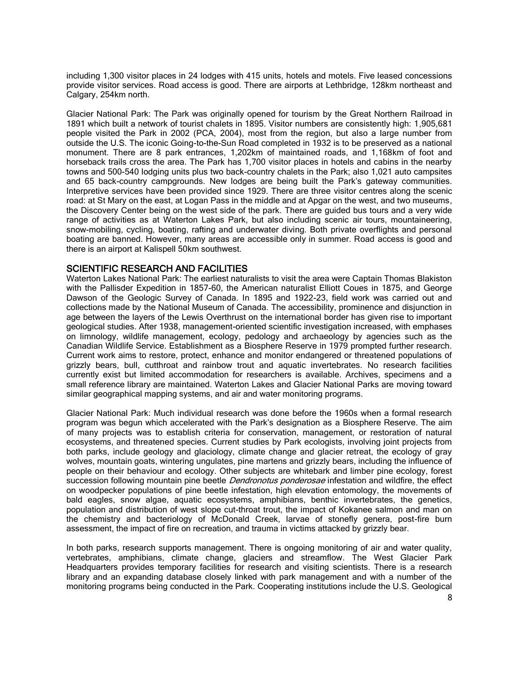including 1,300 visitor places in 24 lodges with 415 units, hotels and motels. Five leased concessions provide visitor services. Road access is good. There are airports at Lethbridge, 128km northeast and Calgary, 254km north.

Glacier National Park: The Park was originally opened for tourism by the Great Northern Railroad in 1891 which built a network of tourist chalets in 1895. Visitor numbers are consistently high: 1,905,681 people visited the Park in 2002 (PCA, 2004), most from the region, but also a large number from outside the U.S. The iconic Going-to-the-Sun Road completed in 1932 is to be preserved as a national monument. There are 8 park entrances, 1,202km of maintained roads, and 1,168km of foot and horseback trails cross the area. The Park has 1,700 visitor places in hotels and cabins in the nearby towns and 500-540 lodging units plus two back-country chalets in the Park; also 1,021 auto campsites and 65 back-country campgrounds. New lodges are being built the Park's gateway communities. Interpretive services have been provided since 1929. There are three visitor centres along the scenic road: at St Mary on the east, at Logan Pass in the middle and at Apgar on the west, and two museums, the Discovery Center being on the west side of the park. There are guided bus tours and a very wide range of activities as at Waterton Lakes Park, but also including scenic air tours, mountaineering, snow-mobiling, cycling, boating, rafting and underwater diving. Both private overflights and personal boating are banned. However, many areas are accessible only in summer. Road access is good and there is an airport at Kalispell 50km southwest.

#### SCIENTIFIC RESEARCH AND FACILITIES

Waterton Lakes National Park: The earliest naturalists to visit the area were Captain Thomas Blakiston with the Pallisder Expedition in 1857-60, the American naturalist Elliott Coues in 1875, and George Dawson of the Geologic Survey of Canada. In 1895 and 1922-23, field work was carried out and collections made by the National Museum of Canada. The accessibility, prominence and disjunction in age between the layers of the Lewis Overthrust on the international border has given rise to important geological studies. After 1938, management-oriented scientific investigation increased, with emphases on limnology, wildlife management, ecology, pedology and archaeology by agencies such as the Canadian Wildlife Service. Establishment as a Biosphere Reserve in 1979 prompted further research. Current work aims to restore, protect, enhance and monitor endangered or threatened populations of grizzly bears, bull, cutthroat and rainbow trout and aquatic invertebrates. No research facilities currently exist but limited accommodation for researchers is available. Archives, specimens and a small reference library are maintained. Waterton Lakes and Glacier National Parks are moving toward similar geographical mapping systems, and air and water monitoring programs.

Glacier National Park: Much individual research was done before the 1960s when a formal research program was begun which accelerated with the Park's designation as a Biosphere Reserve. The aim of many projects was to establish criteria for conservation, management, or restoration of natural ecosystems, and threatened species. Current studies by Park ecologists, involving joint projects from both parks, include geology and glaciology, climate change and glacier retreat, the ecology of gray wolves, mountain goats, wintering ungulates, pine martens and grizzly bears, including the influence of people on their behaviour and ecology. Other subjects are whitebark and limber pine ecology, forest succession following mountain pine beetle *Dendronotus ponderosae* infestation and wildfire, the effect on woodpecker populations of pine beetle infestation, high elevation entomology, the movements of bald eagles, snow algae, aquatic ecosystems, amphibians, benthic invertebrates, the genetics, population and distribution of west slope cut-throat trout, the impact of Kokanee salmon and man on the chemistry and bacteriology of McDonald Creek, larvae of stonefly genera, post-fire burn assessment, the impact of fire on recreation, and trauma in victims attacked by grizzly bear.

In both parks, research supports management. There is ongoing monitoring of air and water quality, vertebrates, amphibians, climate change, glaciers and streamflow. The West Glacier Park Headquarters provides temporary facilities for research and visiting scientists. There is a research library and an expanding database closely linked with park management and with a number of the monitoring programs being conducted in the Park. Cooperating institutions include the U.S. Geological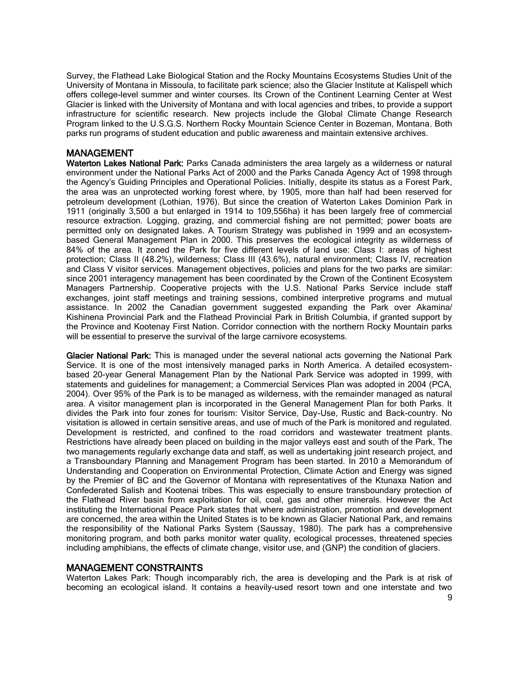Survey, the Flathead Lake Biological Station and the Rocky Mountains Ecosystems Studies Unit of the University of Montana in Missoula, to facilitate park science; also the Glacier Institute at Kalispell which offers college-level summer and winter courses. Its Crown of the Continent Learning Center at West Glacier is linked with the University of Montana and with local agencies and tribes, to provide a support infrastructure for scientific research. New projects include the Global Climate Change Research Program linked to the U.S.G.S. Northern Rocky Mountain Science Center in Bozeman, Montana. Both parks run programs of student education and public awareness and maintain extensive archives.

## MANAGEMENT

Waterton Lakes National Park: Parks Canada administers the area largely as a wilderness or natural environment under the National Parks Act of 2000 and the Parks Canada Agency Act of 1998 through the Agency's Guiding Principles and Operational Policies. Initially, despite its status as a Forest Park, the area was an unprotected working forest where, by 1905, more than half had been reserved for petroleum development (Lothian, 1976). But since the creation of Waterton Lakes Dominion Park in 1911 (originally 3,500 a but enlarged in 1914 to 109,556ha) it has been largely free of commercial resource extraction. Logging, grazing, and commercial fishing are not permitted; power boats are permitted only on designated lakes. A Tourism Strategy was published in 1999 and an ecosystembased General Management Plan in 2000. This preserves the ecological integrity as wilderness of 84% of the area. It zoned the Park for five different levels of land use: Class I: areas of highest protection; Class II (48.2%), wilderness; Class III (43.6%), natural environment; Class IV, recreation and Class V visitor services. Management objectives, policies and plans for the two parks are similar: since 2001 interagency management has been coordinated by the Crown of the Continent Ecosystem Managers Partnership. Cooperative projects with the U.S. National Parks Service include staff exchanges, joint staff meetings and training sessions, combined interpretive programs and mutual assistance. In 2002 the Canadian government suggested expanding the Park over Akamina/ Kishinena Provincial Park and the Flathead Provincial Park in British Columbia, if granted support by the Province and Kootenay First Nation. Corridor connection with the northern Rocky Mountain parks will be essential to preserve the survival of the large carnivore ecosystems.

Glacier National Park: This is managed under the several national acts governing the National Park Service. It is one of the most intensively managed parks in North America. A detailed ecosystembased 20-year General Management Plan by the National Park Service was adopted in 1999, with statements and guidelines for management; a Commercial Services Plan was adopted in 2004 (PCA, 2004). Over 95% of the Park is to be managed as wilderness, with the remainder managed as natural area. A visitor management plan is incorporated in the General Management Plan for both Parks. It divides the Park into four zones for tourism: Visitor Service, Day-Use, Rustic and Back-country. No visitation is allowed in certain sensitive areas, and use of much of the Park is monitored and regulated. Development is restricted, and confined to the road corridors and wastewater treatment plants. Restrictions have already been placed on building in the major valleys east and south of the Park. The two managements regularly exchange data and staff, as well as undertaking joint research project, and a Transboundary Planning and Management Program has been started. In 2010 a Memorandum of Understanding and Cooperation on Environmental Protection, Climate Action and Energy was signed by the Premier of BC and the Governor of Montana with representatives of the Ktunaxa Nation and Confederated Salish and Kootenai tribes. This was especially to ensure transboundary protection of the Flathead River basin from exploitation for oil, coal, gas and other minerals. However the Act instituting the International Peace Park states that where administration, promotion and development are concerned, the area within the United States is to be known as Glacier National Park, and remains the responsibility of the National Parks System (Saussay, 1980). The park has a comprehensive monitoring program, and both parks monitor water quality, ecological processes, threatened species including amphibians, the effects of climate change, visitor use, and (GNP) the condition of glaciers.

### MANAGEMENT CONSTRAINTS

Waterton Lakes Park: Though incomparably rich, the area is developing and the Park is at risk of becoming an ecological island. It contains a heavily-used resort town and one interstate and two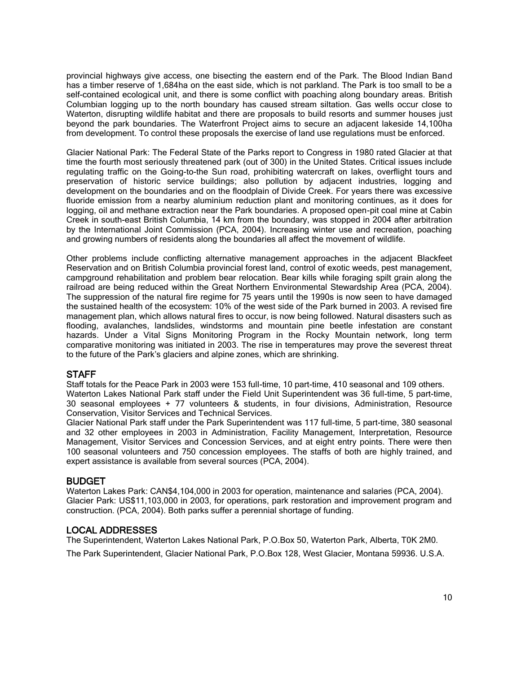provincial highways give access, one bisecting the eastern end of the Park. The Blood Indian Band has a timber reserve of 1,684ha on the east side, which is not parkland. The Park is too small to be a self-contained ecological unit, and there is some conflict with poaching along boundary areas. British Columbian logging up to the north boundary has caused stream siltation. Gas wells occur close to Waterton, disrupting wildlife habitat and there are proposals to build resorts and summer houses just beyond the park boundaries. The Waterfront Project aims to secure an adjacent lakeside 14,100ha from development. To control these proposals the exercise of land use regulations must be enforced.

Glacier National Park: The Federal State of the Parks report to Congress in 1980 rated Glacier at that time the fourth most seriously threatened park (out of 300) in the United States. Critical issues include regulating traffic on the Going-to-the Sun road, prohibiting watercraft on lakes, overflight tours and preservation of historic service buildings; also pollution by adjacent industries, logging and development on the boundaries and on the floodplain of Divide Creek. For years there was excessive fluoride emission from a nearby aluminium reduction plant and monitoring continues, as it does for logging, oil and methane extraction near the Park boundaries. A proposed open-pit coal mine at Cabin Creek in south-east British Columbia, 14 km from the boundary, was stopped in 2004 after arbitration by the International Joint Commission (PCA, 2004). Increasing winter use and recreation, poaching and growing numbers of residents along the boundaries all affect the movement of wildlife.

Other problems include conflicting alternative management approaches in the adjacent Blackfeet Reservation and on British Columbia provincial forest land, control of exotic weeds, pest management, campground rehabilitation and problem bear relocation. Bear kills while foraging spilt grain along the railroad are being reduced within the Great Northern Environmental Stewardship Area (PCA, 2004). The suppression of the natural fire regime for 75 years until the 1990s is now seen to have damaged the sustained health of the ecosystem: 10% of the west side of the Park burned in 2003. A revised fire management plan, which allows natural fires to occur, is now being followed. Natural disasters such as flooding, avalanches, landslides, windstorms and mountain pine beetle infestation are constant hazards. Under a Vital Signs Monitoring Program in the Rocky Mountain network, long term comparative monitoring was initiated in 2003. The rise in temperatures may prove the severest threat to the future of the Park's glaciers and alpine zones, which are shrinking.

### **STAFF**

Staff totals for the Peace Park in 2003 were 153 full-time, 10 part-time, 410 seasonal and 109 others. Waterton Lakes National Park staff under the Field Unit Superintendent was 36 full-time, 5 part-time, 30 seasonal employees + 77 volunteers & students, in four divisions, Administration, Resource Conservation, Visitor Services and Technical Services.

Glacier National Park staff under the Park Superintendent was 117 full-time, 5 part-time, 380 seasonal and 32 other employees in 2003 in Administration, Facility Management, Interpretation, Resource Management, Visitor Services and Concession Services, and at eight entry points. There were then 100 seasonal volunteers and 750 concession employees. The staffs of both are highly trained, and expert assistance is available from several sources (PCA, 2004).

#### BUDGET

Waterton Lakes Park: CAN\$4,104,000 in 2003 for operation, maintenance and salaries (PCA, 2004). Glacier Park: US\$11,103,000 in 2003, for operations, park restoration and improvement program and construction. (PCA, 2004). Both parks suffer a perennial shortage of funding.

#### LOCAL ADDRESSES

The Superintendent, Waterton Lakes National Park, P.O.Box 50, Waterton Park, Alberta, T0K 2M0. The Park Superintendent, Glacier National Park, P.O.Box 128, West Glacier, Montana 59936. U.S.A.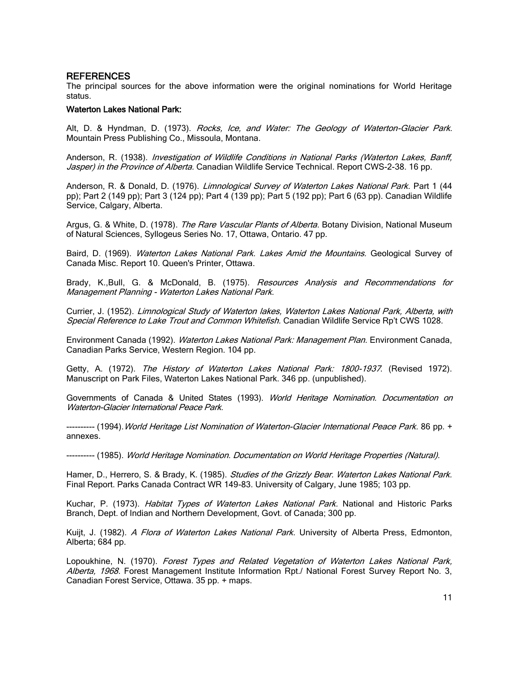#### **REFERENCES**

The principal sources for the above information were the original nominations for World Heritage status.

#### Waterton Lakes National Park:

Alt, D. & Hyndman, D. (1973). Rocks, Ice, and Water: The Geology of Waterton-Glacier Park. Mountain Press Publishing Co., Missoula, Montana.

Anderson, R. (1938). *Investigation of Wildlife Conditions in National Parks (Waterton Lakes, Banff,* Jasper) in the Province of Alberta. Canadian Wildlife Service Technical. Report CWS-2-38. 16 pp.

Anderson, R. & Donald, D. (1976). Limnological Survey of Waterton Lakes National Park. Part 1 (44 pp); Part 2 (149 pp); Part 3 (124 pp); Part 4 (139 pp); Part 5 (192 pp); Part 6 (63 pp). Canadian Wildlife Service, Calgary, Alberta.

Argus, G. & White, D. (1978). The Rare Vascular Plants of Alberta. Botany Division, National Museum of Natural Sciences, Syllogeus Series No. 17, Ottawa, Ontario. 47 pp.

Baird, D. (1969). Waterton Lakes National Park. Lakes Amid the Mountains. Geological Survey of Canada Misc. Report 10. Queen's Printer, Ottawa.

Brady, K.,Bull, G. & McDonald, B. (1975). Resources Analysis and Recommendations for Management Planning - Waterton Lakes National Park.

Currier, J. (1952). Limnological Study of Waterton lakes, Waterton Lakes National Park, Alberta, with Special Reference to Lake Trout and Common Whitefish. Canadian Wildlife Service Rp't CWS 1028.

Environment Canada (1992). Waterton Lakes National Park: Management Plan. Environment Canada, Canadian Parks Service, Western Region. 104 pp.

Getty, A. (1972). The History of Waterton Lakes National Park: 1800-1937. (Revised 1972). Manuscript on Park Files, Waterton Lakes National Park. 346 pp. (unpublished).

Governments of Canada & United States (1993). World Heritage Nomination. Documentation on Waterton-Glacier International Peace Park.

---------- (1994).World Heritage List Nomination of Waterton-Glacier International Peace Park. 86 pp. + annexes.

---------- (1985). World Heritage Nomination. Documentation on World Heritage Properties (Natural).

Hamer, D., Herrero, S. & Brady, K. (1985). Studies of the Grizzly Bear. Waterton Lakes National Park. Final Report. Parks Canada Contract WR 149-83. University of Calgary, June 1985; 103 pp.

Kuchar, P. (1973). Habitat Types of Waterton Lakes National Park. National and Historic Parks Branch, Dept. of Indian and Northern Development, Govt. of Canada; 300 pp.

Kuijt, J. (1982). A Flora of Waterton Lakes National Park. University of Alberta Press, Edmonton, Alberta; 684 pp.

Lopoukhine, N. (1970). Forest Types and Related Vegetation of Waterton Lakes National Park, Alberta, 1968. Forest Management Institute Information Rpt./ National Forest Survey Report No. 3, Canadian Forest Service, Ottawa. 35 pp. + maps.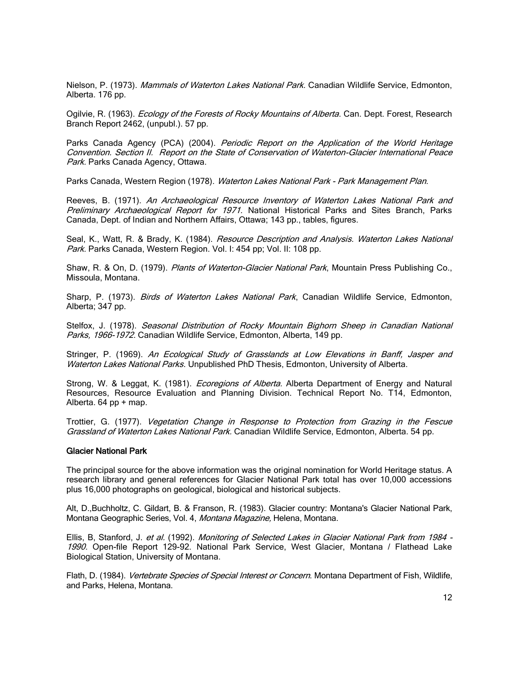Nielson, P. (1973). Mammals of Waterton Lakes National Park. Canadian Wildlife Service, Edmonton, Alberta. 176 pp.

Ogilvie, R. (1963). *Ecology of the Forests of Rocky Mountains of Alberta*. Can. Dept. Forest, Research Branch Report 2462, (unpubl.). 57 pp.

Parks Canada Agency (PCA) (2004). Periodic Report on the Application of the World Heritage Convention. Section II. Report on the State of Conservation of Waterton-Glacier International Peace Park. Parks Canada Agency, Ottawa.

Parks Canada, Western Region (1978). Waterton Lakes National Park - Park Management Plan.

Reeves, B. (1971). An Archaeological Resource Inventory of Waterton Lakes National Park and Preliminary Archaeological Report for 1971. National Historical Parks and Sites Branch, Parks Canada, Dept. of Indian and Northern Affairs, Ottawa; 143 pp., tables, figures.

Seal, K., Watt, R. & Brady, K. (1984). Resource Description and Analysis. Waterton Lakes National Park. Parks Canada, Western Region. Vol. I: 454 pp; Vol. II: 108 pp.

Shaw, R. & On, D. (1979). Plants of Waterton-Glacier National Park, Mountain Press Publishing Co., Missoula, Montana.

Sharp, P. (1973). Birds of Waterton Lakes National Park, Canadian Wildlife Service, Edmonton, Alberta; 347 pp.

Stelfox, J. (1978). Seasonal Distribution of Rocky Mountain Bighorn Sheep in Canadian National Parks, 1966-1972. Canadian Wildlife Service, Edmonton, Alberta, 149 pp.

Stringer, P. (1969). An Ecological Study of Grasslands at Low Elevations in Banff, Jasper and Waterton Lakes National Parks. Unpublished PhD Thesis, Edmonton, University of Alberta.

Strong, W. & Leggat, K. (1981). *Ecoregions of Alberta*. Alberta Department of Energy and Natural Resources, Resource Evaluation and Planning Division. Technical Report No. T14, Edmonton, Alberta. 64 pp + map.

Trottier, G. (1977). Vegetation Change in Response to Protection from Grazing in the Fescue Grassland of Waterton Lakes National Park. Canadian Wildlife Service, Edmonton, Alberta. 54 pp.

#### Glacier National Park

The principal source for the above information was the original nomination for World Heritage status. A research library and general references for Glacier National Park total has over 10,000 accessions plus 16,000 photographs on geological, biological and historical subjects.

Alt, D.,Buchholtz, C. Gildart, B. & Franson, R. (1983). Glacier country: Montana's Glacier National Park, Montana Geographic Series, Vol. 4, Montana Magazine, Helena, Montana.

Ellis, B, Stanford, J. et al. (1992). Monitoring of Selected Lakes in Glacier National Park from 1984 -1990. Open-file Report 129-92. National Park Service, West Glacier, Montana / Flathead Lake Biological Station, University of Montana.

Flath, D. (1984). Vertebrate Species of Special Interest or Concern. Montana Department of Fish, Wildlife, and Parks, Helena, Montana.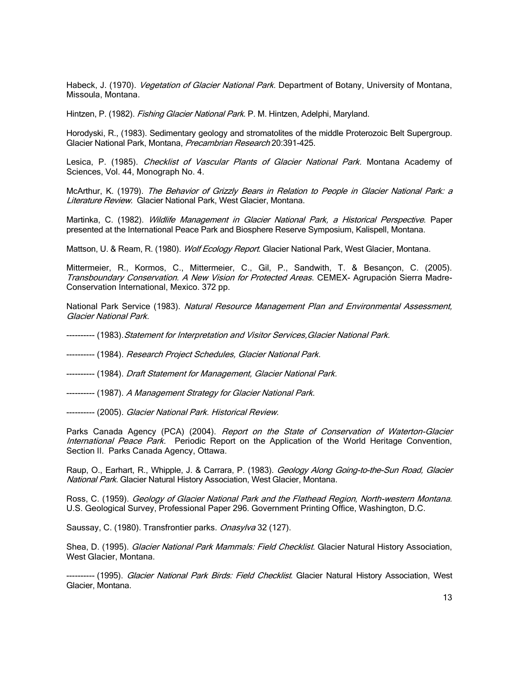Habeck, J. (1970). *Vegetation of Glacier National Park.* Department of Botany, University of Montana, Missoula, Montana.

Hintzen, P. (1982). *Fishing Glacier National Park*. P. M. Hintzen, Adelphi, Maryland.

Horodyski, R., (1983). Sedimentary geology and stromatolites of the middle Proterozoic Belt Supergroup. Glacier National Park, Montana, Precambrian Research 20:391-425.

Lesica, P. (1985). Checklist of Vascular Plants of Glacier National Park. Montana Academy of Sciences, Vol. 44, Monograph No. 4.

McArthur, K. (1979). The Behavior of Grizzly Bears in Relation to People in Glacier National Park: a Literature Review. Glacier National Park, West Glacier, Montana.

Martinka, C. (1982). Wildlife Management in Glacier National Park, a Historical Perspective. Paper presented at the International Peace Park and Biosphere Reserve Symposium, Kalispell, Montana.

Mattson, U. & Ream, R. (1980). Wolf Ecology Report. Glacier National Park, West Glacier, Montana.

Mittermeier, R., Kormos, C., Mittermeier, C., Gil, P., Sandwith, T. & Besançon, C. (2005). Transboundary Conservation. A New Vision for Protected Areas. CEMEX- Agrupación Sierra Madre-Conservation International, Mexico. 372 pp.

National Park Service (1983). Natural Resource Management Plan and Environmental Assessment, Glacier National Park.

--------- (1983). Statement for Interpretation and Visitor Services, Glacier National Park.

---------- (1984). Research Project Schedules, Glacier National Park.

---------- (1984). Draft Statement for Management, Glacier National Park.

---------- (1987). A Management Strategy for Glacier National Park.

---------- (2005). Glacier National Park. Historical Review.

Parks Canada Agency (PCA) (2004). Report on the State of Conservation of Waterton-Glacier International Peace Park. Periodic Report on the Application of the World Heritage Convention, Section II. Parks Canada Agency, Ottawa.

Raup, O., Earhart, R., Whipple, J. & Carrara, P. (1983). Geology Along Going-to-the-Sun Road, Glacier National Park. Glacier Natural History Association, West Glacier, Montana.

Ross, C. (1959). Geology of Glacier National Park and the Flathead Region, North-western Montana. U.S. Geological Survey, Professional Paper 296. Government Printing Office, Washington, D.C.

Saussay, C. (1980). Transfrontier parks. Onasylva 32 (127).

Shea, D. (1995). Glacier National Park Mammals: Field Checklist. Glacier Natural History Association, West Glacier, Montana.

---------- (1995). *Glacier National Park Birds: Field Checklist*. Glacier Natural History Association, West Glacier, Montana.